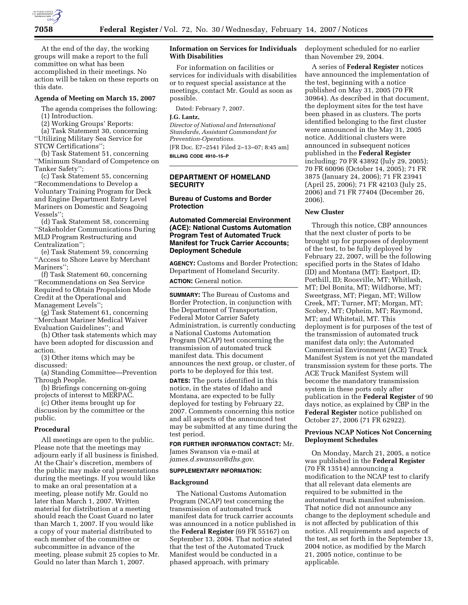

At the end of the day, the working groups will make a report to the full committee on what has been accomplished in their meetings. No action will be taken on these reports on this date.

## **Agenda of Meeting on March 15, 2007**

The agenda comprises the following: (1) Introduction.

(2) Working Groups' Reports:

(a) Task Statement 30, concerning ''Utilizing Military Sea Service for STCW Certifications'';

(b) Task Statement 51, concerning ''Minimum Standard of Competence on Tanker Safety'';

(c) Task Statement 55, concerning ''Recommendations to Develop a Voluntary Training Program for Deck and Engine Department Entry Level Mariners on Domestic and Seagoing Vessels'';

(d) Task Statement 58, concerning ''Stakeholder Communications During MLD Program Restructuring and Centralization'';

(e) Task Statement 59, concerning ''Access to Shore Leave by Merchant Mariners'';

(f) Task Statement 60, concerning ''Recommendations on Sea Service Required to Obtain Propulsion Mode Credit at the Operational and Management Levels'';

(g) Task Statement 61, concerning ''Merchant Mariner Medical Waiver Evaluation Guidelines''; and

(h) Other task statements which may have been adopted for discussion and action.

(3) Other items which may be discussed:

(a) Standing Committee—Prevention Through People.

(b) Briefings concerning on-going projects of interest to MERPAC.

(c) Other items brought up for discussion by the committee or the public.

### **Procedural**

All meetings are open to the public. Please note that the meetings may adjourn early if all business is finished. At the Chair's discretion, members of the public may make oral presentations during the meetings. If you would like to make an oral presentation at a meeting, please notify Mr. Gould no later than March 1, 2007. Written material for distribution at a meeting should reach the Coast Guard no later than March 1, 2007. If you would like a copy of your material distributed to each member of the committee or subcommittee in advance of the meeting, please submit 25 copies to Mr. Gould no later than March 1, 2007.

### **Information on Services for Individuals With Disabilities**

For information on facilities or services for individuals with disabilities or to request special assistance at the meetings, contact Mr. Gould as soon as possible.

Dated: February 7, 2007.

### **J.G. Lantz,**

*Director of National and International Standards, Assistant Commandant for Prevention-Operations.*  [FR Doc. E7–2541 Filed 2–13–07; 8:45 am]

**BILLING CODE 4910–15–P** 

# **DEPARTMENT OF HOMELAND SECURITY**

### **Bureau of Customs and Border Protection**

## **Automated Commercial Environment (ACE): National Customs Automation Program Test of Automated Truck Manifest for Truck Carrier Accounts; Deployment Schedule**

**AGENCY:** Customs and Border Protection; Department of Homeland Security.

**ACTION:** General notice.

**SUMMARY:** The Bureau of Customs and Border Protection, in conjunction with the Department of Transportation, Federal Motor Carrier Safety Administration, is currently conducting a National Customs Automation Program (NCAP) test concerning the transmission of automated truck manifest data. This document announces the next group, or cluster, of ports to be deployed for this test.

**DATES:** The ports identified in this notice, in the states of Idaho and Montana, are expected to be fully deployed for testing by February 22, 2007. Comments concerning this notice and all aspects of the announced test may be submitted at any time during the test period.

**FOR FURTHER INFORMATION CONTACT:** Mr. James Swanson via e-mail at

*james.d.swanson@dhs.gov*.

# **SUPPLEMENTARY INFORMATION:**

## **Background**

The National Customs Automation Program (NCAP) test concerning the transmission of automated truck manifest data for truck carrier accounts was announced in a notice published in the **Federal Register** (69 FR 55167) on September 13, 2004. That notice stated that the test of the Automated Truck Manifest would be conducted in a phased approach, with primary

deployment scheduled for no earlier than November 29, 2004.

A series of **Federal Register** notices have announced the implementation of the test, beginning with a notice published on May 31, 2005 (70 FR 30964). As described in that document, the deployment sites for the test have been phased in as clusters. The ports identified belonging to the first cluster were announced in the May 31, 2005 notice. Additional clusters were announced in subsequent notices published in the **Federal Register**  including: 70 FR 43892 (July 29, 2005); 70 FR 60096 (October 14, 2005); 71 FR 3875 (January 24, 2006); 71 FR 23941 (April 25, 2006); 71 FR 42103 (July 25, 2006) and 71 FR 77404 (December 26, 2006).

### **New Cluster**

Through this notice, CBP announces that the next cluster of ports to be brought up for purposes of deployment of the test, to be fully deployed by February 22, 2007, will be the following specified ports in the States of Idaho (ID) and Montana (MT): Eastport, ID; Porthill, ID; Roosville, MT; Whitlash, MT; Del Bonita, MT; Wildhorse, MT; Sweetgrass, MT; Piegan, MT; Willow Creek, MT; Turner, MT; Morgan, MT; Scobey, MT; Opheim, MT; Raymond, MT; and Whitetail, MT. This deployment is for purposes of the test of the transmission of automated truck manifest data only; the Automated Commercial Environment (ACE) Truck Manifest System is not yet the mandated transmission system for these ports. The ACE Truck Manifest System will become the mandatory transmission system in these ports only after publication in the **Federal Register** of 90 days notice, as explained by CBP in the **Federal Register** notice published on October 27, 2006 (71 FR 62922).

# **Previous NCAP Notices Not Concerning Deployment Schedules**

On Monday, March 21, 2005, a notice was published in the **Federal Register**  (70 FR 13514) announcing a modification to the NCAP test to clarify that all relevant data elements are required to be submitted in the automated truck manifest submission. That notice did not announce any change to the deployment schedule and is not affected by publication of this notice. All requirements and aspects of the test, as set forth in the September 13, 2004 notice, as modified by the March 21, 2005 notice, continue to be applicable.